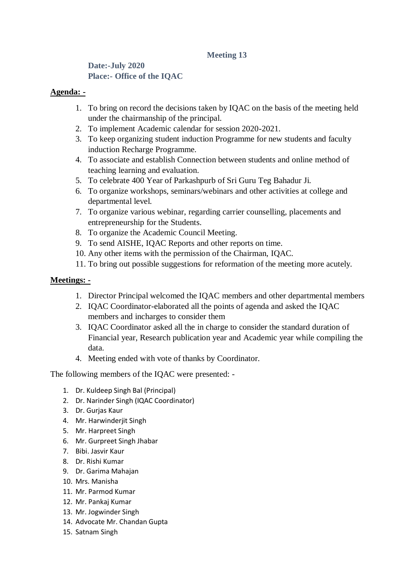# **Meeting 13**

## **Date:-July 2020 Place:- Office of the IQAC**

### **Agenda: -**

- 1. To bring on record the decisions taken by IQAC on the basis of the meeting held under the chairmanship of the principal.
- 2. To implement Academic calendar for session 2020-2021.
- 3. To keep organizing student induction Programme for new students and faculty induction Recharge Programme.
- 4. To associate and establish Connection between students and online method of teaching learning and evaluation.
- 5. To celebrate 400 Year of Parkashpurb of Sri Guru Teg Bahadur Ji.
- 6. To organize workshops, seminars/webinars and other activities at college and departmental level.
- 7. To organize various webinar, regarding carrier counselling, placements and entrepreneurship for the Students.
- 8. To organize the Academic Council Meeting.
- 9. To send AISHE, IQAC Reports and other reports on time.
- 10. Any other items with the permission of the Chairman, IQAC.
- 11. To bring out possible suggestions for reformation of the meeting more acutely.

## **Meetings: -**

- 1. Director Principal welcomed the IQAC members and other departmental members
- 2. IQAC Coordinator-elaborated all the points of agenda and asked the IQAC members and incharges to consider them
- 3. IQAC Coordinator asked all the in charge to consider the standard duration of Financial year, Research publication year and Academic year while compiling the data.
- 4. Meeting ended with vote of thanks by Coordinator.

The following members of the IQAC were presented: -

- 1. Dr. Kuldeep Singh Bal (Principal)
- 2. Dr. Narinder Singh (IQAC Coordinator)
- 3. Dr. Gurjas Kaur
- 4. Mr. Harwinderjit Singh
- 5. Mr. Harpreet Singh
- 6. Mr. Gurpreet Singh Jhabar
- 7. Bibi. Jasvir Kaur
- 8. Dr. Rishi Kumar
- 9. Dr. Garima Mahajan
- 10. Mrs. Manisha
- 11. Mr. Parmod Kumar
- 12. Mr. Pankaj Kumar
- 13. Mr. Jogwinder Singh
- 14. Advocate Mr. Chandan Gupta
- 15. Satnam Singh